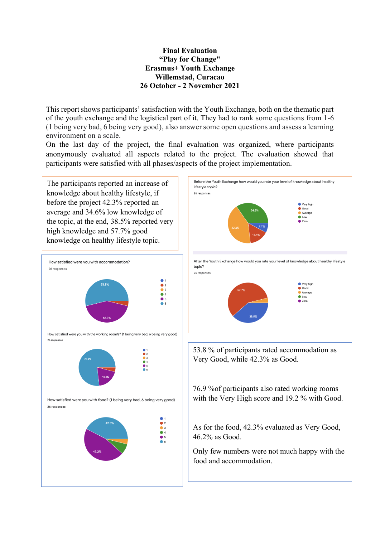# **Final Evaluation "Play for Change" Erasmus+ Youth Exchange Willemstad, Curacao 26 October - 2 November 2021**

This report shows participants' satisfaction with the Youth Exchange, both on the thematic part of the youth exchange and the logistical part of it. They had to rank some questions from 1-6 (1 being very bad, 6 being very good), also answer some open questions and assess a learning environment on a scale.

On the last day of the project, the final evaluation was organized, where participants anonymously evaluated all aspects related to the project. The evaluation showed that participants were satisfied with all phases/aspects of the project implementation.

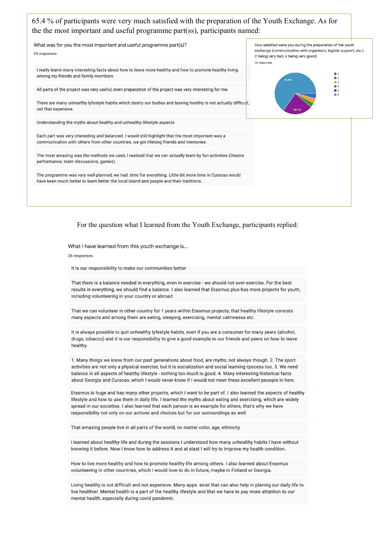### 65.4 % of participants were very much satisfied with the preparation of the Youth Exchange. As for the the most important and useful programme part(ss), participants named: What was for you the most important and useful programme part(s)? How satisfied were you during the preparation of the youth exchange (communication with organisers, logistic support, etc.). 26 responses (1 being very bad, 6 being very good) 26 responses I really learnt many interesting facts about how to leave more healthy and how to promote healthy living

01<br>02<br>03<br>04<br>05

All parts of the project was very useful, even preparation of the project was very interesting for me.

There are many unhealthy lyfestyle habits which destry our bodies and leaving healthy is not actually difficult, not that expensive

Understanding the myths about healthy and unhealthy lifestyle aspects

among my friends and family members.

Each part was very interesting and balanced. I would still highlight that the most important was a communication with others from other countries, we got lifelong friends and memories

The most amazing was the methods we used, I realized that we can actually learn by fun-activities (theatre performance, team discussions, games).

The programme was very well-planned, we had. time for everything. Little bit more time in Curacao would have been much better to learn better the local island and people and their traditions

# For the question what I learned from the Youth Exchange, participants replied:

What I have learned from this youth exchange is...

#### 26 responses

It is our responsibility to make our communities better

That there is a balance needed in everything, even in exercise - we should not over-exercise. For the best results in everything, we should find a balance. I also learned that Erasmus plus has more projects for youth, including volunteering in your country or abroad

That we can volunteer in other country for 1 years within Erasmus projects, that healthy lifestyle consists many aspects and among them are eating, sleeping, exercising, mental calmnesss etc.

It is always possible to quit unhealthy lyfestyle habits, even if you are a consumer for many years (alcohol, drugs, tobacco) and it is our responsibility to give a good example to our friends and peers on how to leave healthy.

1. Many things we know from our past generations about food, are myths, not always though. 2. The sport activities are not only a physical exercise, but it is socialization and social learning rpocess too. 3. We need balance in all aspects of healthy lifestyle - nothing too much is good. 4. Many interesting historical facts about Georgia and Curacao, which I would never know if I would not meet these excellent peoople in here

Erasmus is huge and has many other projects, which I want to be part of. I also learned the aspects of healthy lifestyle and how to use them in daily life. I learned the myths about eating and exercising, which are widely spread in our societies. I also learned that each person is an example for others, that's why we have responsibility not only on our actions and choices but for our surroundings as well

That amazing people live in all parts of the world, no matter color, age, ethnicity

I learned about healthy life and during the sessions I understood how many unhealthy habits I have without knowing it before. Now i know how to address it and at elast I will try to improve my health condition.

How to live more healthy and how to promote healthy life among others. I also learned about Erasmus volunteering in other countries, which I would love to do in future, maybe in Finland or Georgia.

Living healthy is not difficult and not expensive. Many apps. exist that can also help in planing our daily life to live healthier. Mental health is a part of the healthy lifestyle and that we have to pay more attantion to our mental health, especially during covid pandemic